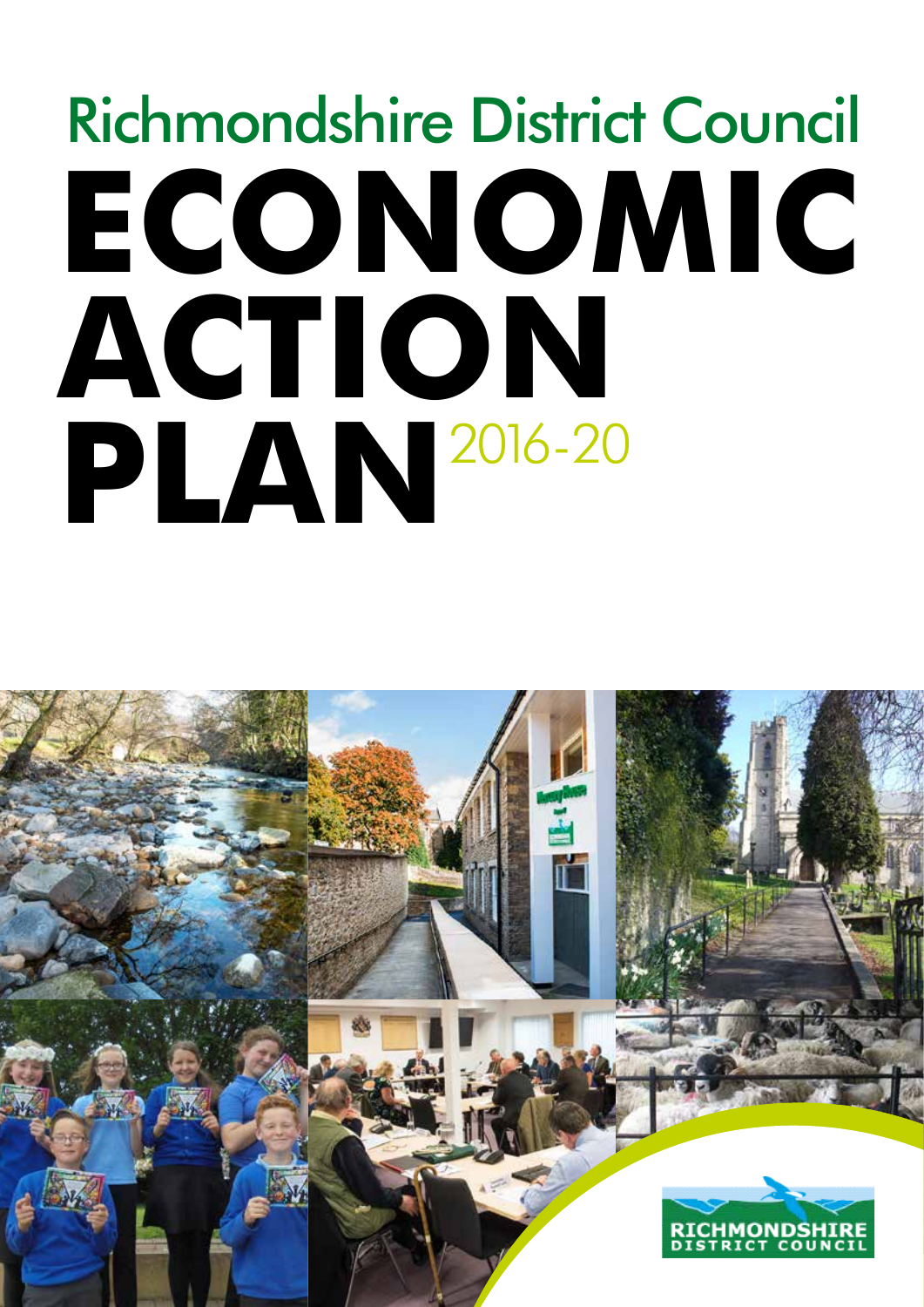# **ECONOMIC ACTION PLAN** 2016-20Richmondshire District Council

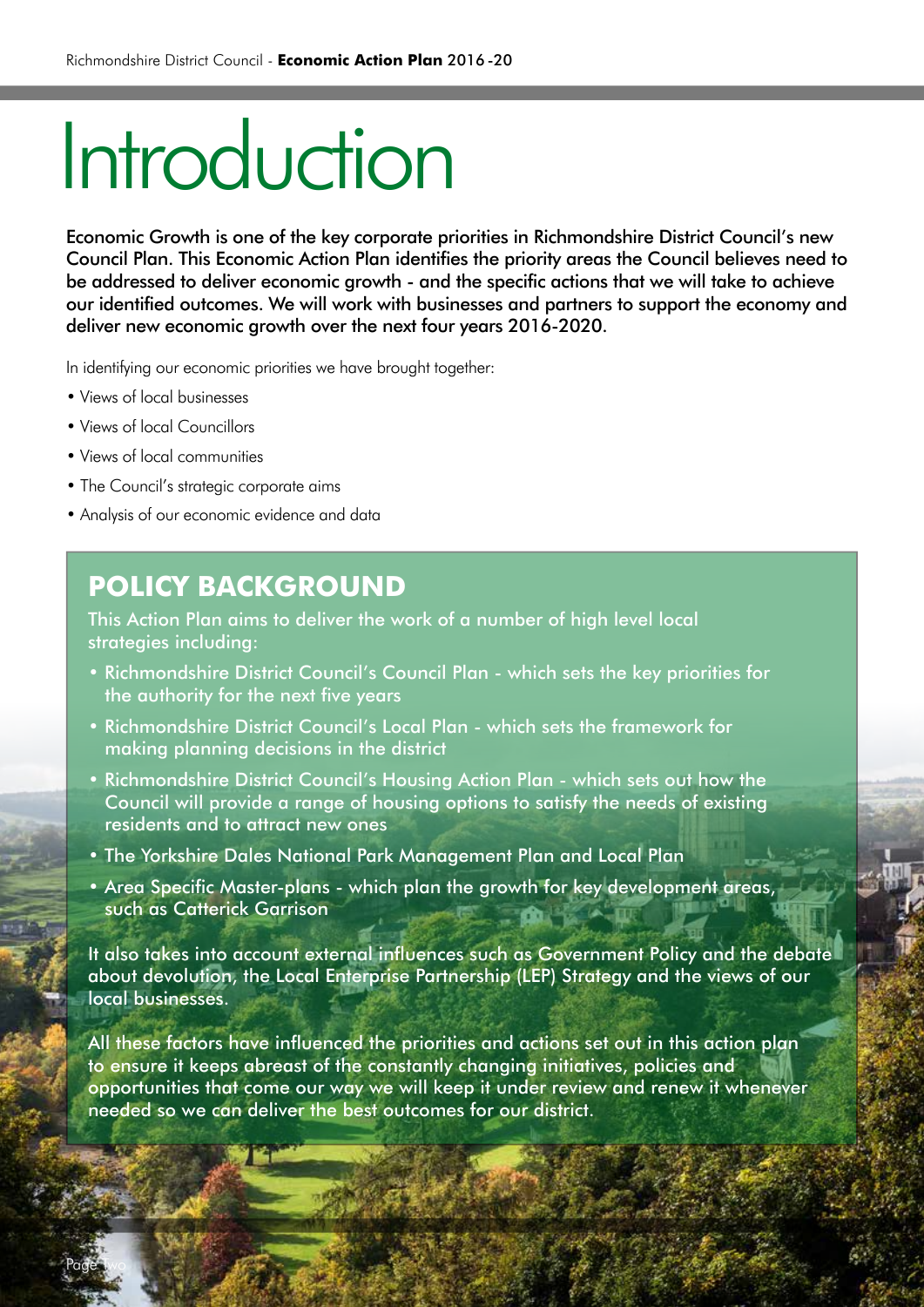# Introduction

Economic Growth is one of the key corporate priorities in Richmondshire District Council's new Council Plan. This Economic Action Plan identifies the priority areas the Council believes need to be addressed to deliver economic growth - and the specific actions that we will take to achieve our identified outcomes. We will work with businesses and partners to support the economy and deliver new economic growth over the next four years 2016-2020.

In identifying our economic priorities we have brought together:

- Views of local businesses
- Views of local Councillors
- Views of local communities

Page Two

- The Council's strategic corporate aims
- Analysis of our economic evidence and data

### **POLICY BACKGROUND**

This Action Plan aims to deliver the work of a number of high level local strategies including:

- Richmondshire District Council's Council Plan which sets the key priorities for the authority for the next five years
- Richmondshire District Council's Local Plan which sets the framework for making planning decisions in the district
- Richmondshire District Council's Housing Action Plan which sets out how the Council will provide a range of housing options to satisfy the needs of existing residents and to attract new ones
- The Yorkshire Dales National Park Management Plan and Local Plan
- Area Specific Master-plans which plan the growth for key development areas, such as Catterick Garrison

It also takes into account external influences such as Government Policy and the debate about devolution, the Local Enterprise Partnership (LEP) Strategy and the views of our local businesses.

All these factors have influenced the priorities and actions set out in this action plan to ensure it keeps abreast of the constantly changing initiatives, policies and opportunities that come our way we will keep it under review and renew it whenever needed so we can deliver the best outcomes for our district.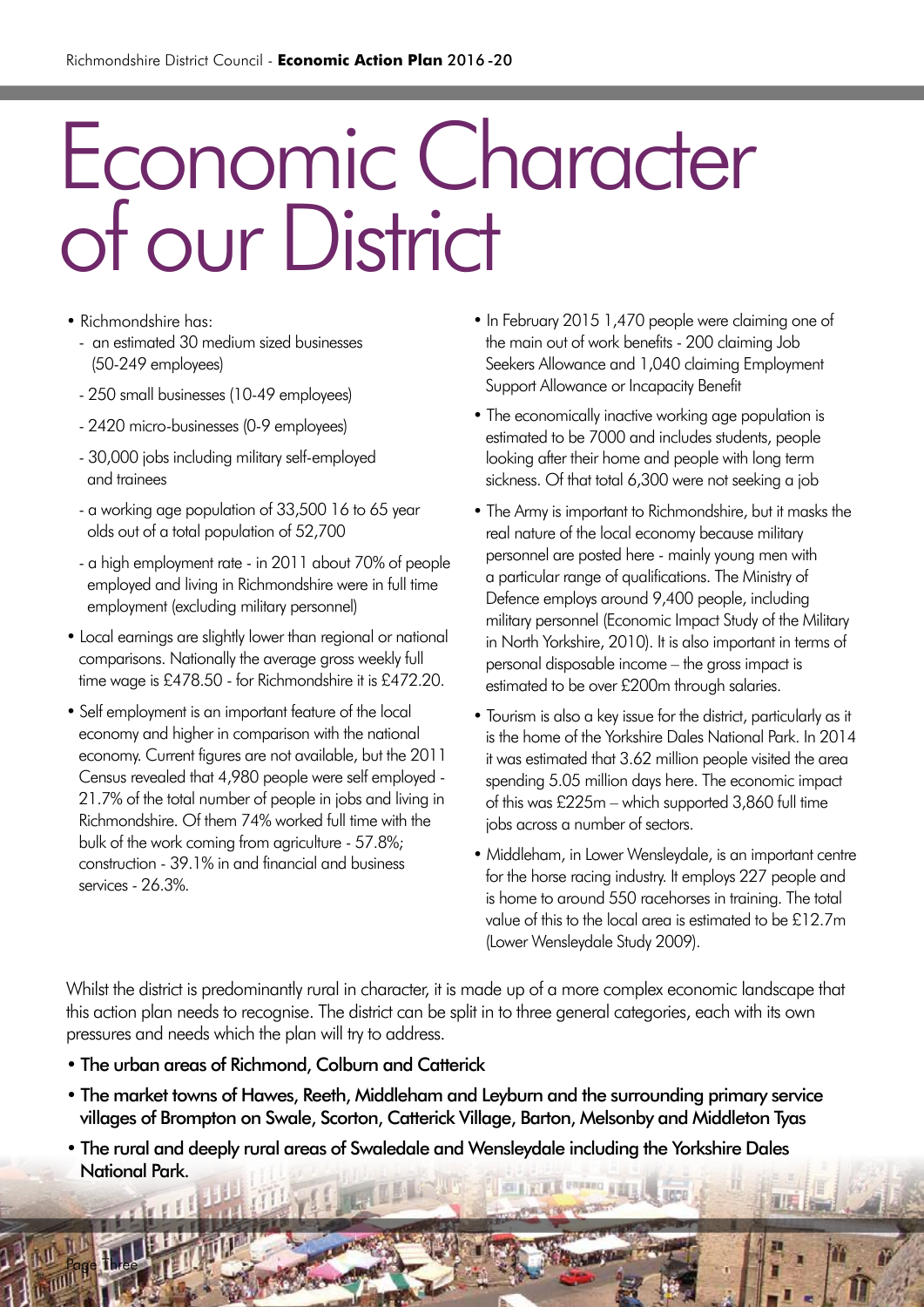# Economic Character of our District

- Richmondshire has:
	- an estimated 30 medium sized businesses (50-249 employees)
	- 250 small businesses (10-49 employees)
	- 2420 micro-businesses (0-9 employees)
	- 30,000 jobs including military self-employed and trainees
	- a working age population of 33,500 16 to 65 year olds out of a total population of 52,700
	- a high employment rate in 2011 about 70% of people employed and living in Richmondshire were in full time employment (excluding military personnel)
- Local earnings are slightly lower than regional or national comparisons. Nationally the average gross weekly full time wage is £478.50 - for Richmondshire it is £472.20.
- Self employment is an important feature of the local economy and higher in comparison with the national economy. Current figures are not available, but the 2011 Census revealed that 4,980 people were self employed - 21.7% of the total number of people in jobs and living in Richmondshire. Of them 74% worked full time with the bulk of the work coming from agriculture - 57.8%; construction - 39.1% in and financial and business services - 26.3%.
- In February 2015 1,470 people were claiming one of the main out of work benefits - 200 claiming Job Seekers Allowance and 1,040 claiming Employment Support Allowance or Incapacity Benefit
- The economically inactive working age population is estimated to be 7000 and includes students, people looking after their home and people with long term sickness. Of that total 6,300 were not seeking a job
- The Army is important to Richmondshire, but it masks the real nature of the local economy because military personnel are posted here - mainly young men with a particular range of qualifications. The Ministry of Defence employs around 9,400 people, including military personnel (Economic Impact Study of the Military in North Yorkshire, 2010). It is also important in terms of personal disposable income – the gross impact is estimated to be over £200m through salaries.
- Tourism is also a key issue for the district, particularly as it is the home of the Yorkshire Dales National Park. In 2014 it was estimated that 3.62 million people visited the area spending 5.05 million days here. The economic impact of this was £225m – which supported 3,860 full time jobs across a number of sectors.
- Middleham, in Lower Wensleydale, is an important centre for the horse racing industry. It employs 227 people and is home to around 550 racehorses in training. The total value of this to the local area is estimated to be £12.7m (Lower Wensleydale Study 2009).

Whilst the district is predominantly rural in character, it is made up of a more complex economic landscape that this action plan needs to recognise. The district can be split in to three general categories, each with its own pressures and needs which the plan will try to address.

• The urban areas of Richmond, Colburn and Catterick

Page Three

- The market towns of Hawes, Reeth, Middleham and Leyburn and the surrounding primary service villages of Brompton on Swale, Scorton, Catterick Village, Barton, Melsonby and Middleton Tyas
- The rural and deeply rural areas of Swaledale and Wensleydale including the Yorkshire Dales National Park.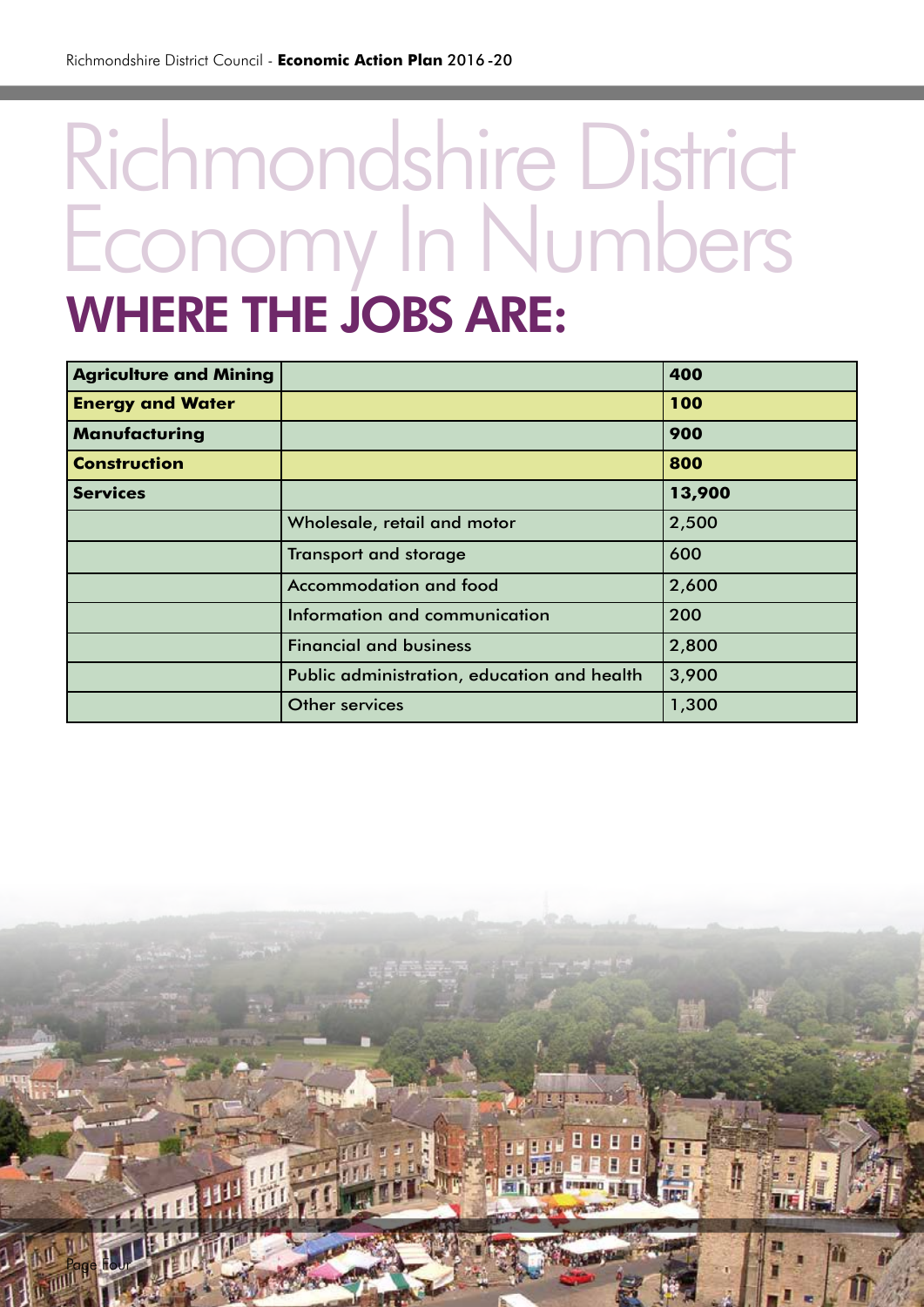Page Four

## Richmondshire District Economy In Numbers WHERE THE JOBS ARE:

| <b>Agriculture and Mining</b> |                                             | 400    |
|-------------------------------|---------------------------------------------|--------|
| <b>Energy and Water</b>       |                                             | 100    |
| <b>Manufacturing</b>          |                                             | 900    |
| <b>Construction</b>           |                                             | 800    |
| <b>Services</b>               |                                             | 13,900 |
|                               | Wholesale, retail and motor                 | 2,500  |
|                               | <b>Transport and storage</b>                | 600    |
|                               | <b>Accommodation and food</b>               | 2,600  |
|                               | Information and communication               | 200    |
|                               | <b>Financial and business</b>               | 2,800  |
|                               | Public administration, education and health | 3,900  |
|                               | Other services                              | 1,300  |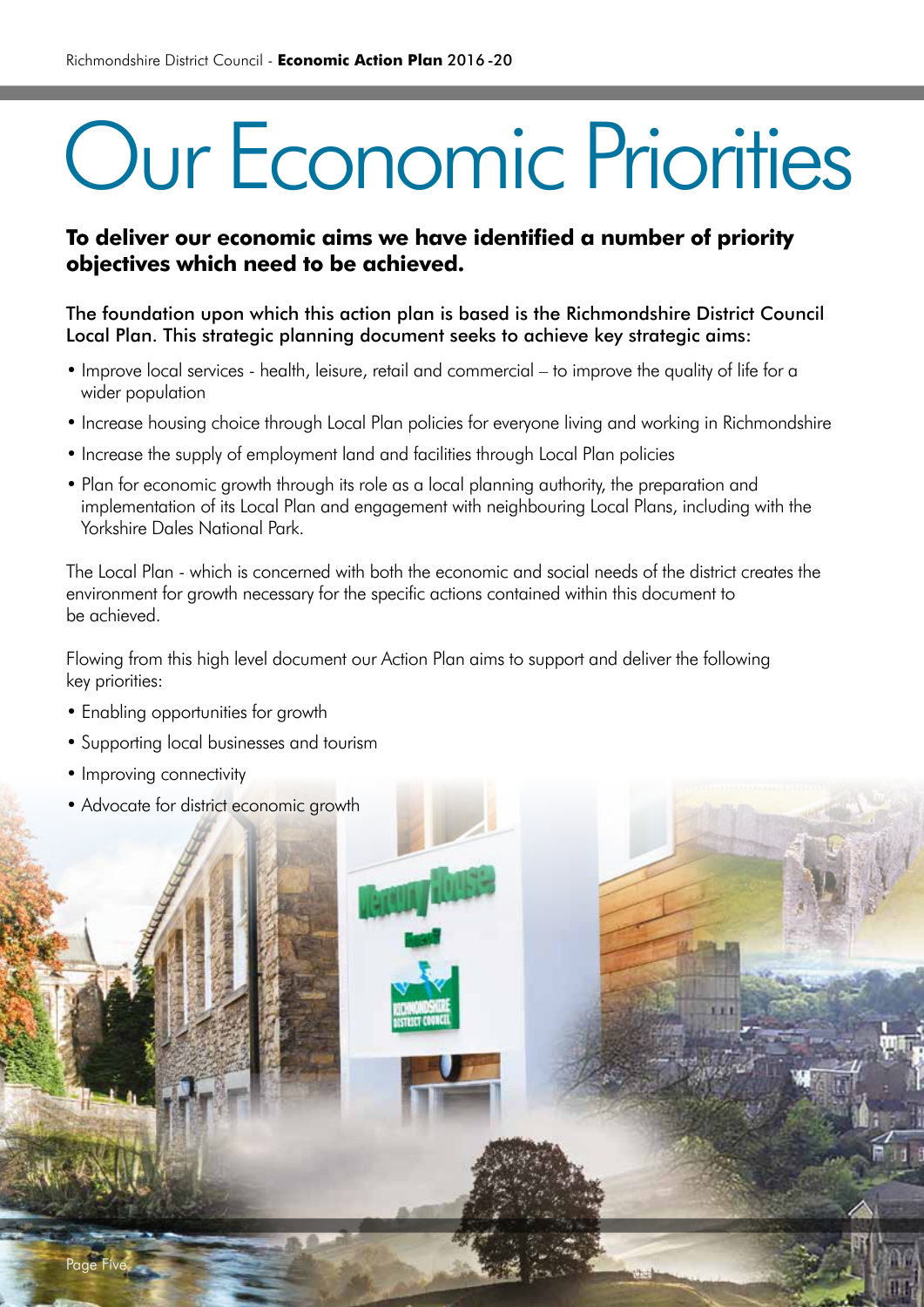# Our Economic Priorities

### **To deliver our economic aims we have identified a number of priority objectives which need to be achieved.**

The foundation upon which this action plan is based is the Richmondshire District Council Local Plan. This strategic planning document seeks to achieve key strategic aims:

- Improve local services health, leisure, retail and commercial to improve the quality of life for a wider population
- Increase housing choice through Local Plan policies for everyone living and working in Richmondshire
- Increase the supply of employment land and facilities through Local Plan policies
- Plan for economic growth through its role as a local planning authority, the preparation and implementation of its Local Plan and engagement with neighbouring Local Plans, including with the Yorkshire Dales National Park.

The Local Plan - which is concerned with both the economic and social needs of the district creates the environment for growth necessary for the specific actions contained within this document to be achieved.

Flowing from this high level document our Action Plan aims to support and deliver the following key priorities:

- Enabling opportunities for growth
- Supporting local businesses and tourism
- Improving connectivity
- Advocate for district economic growth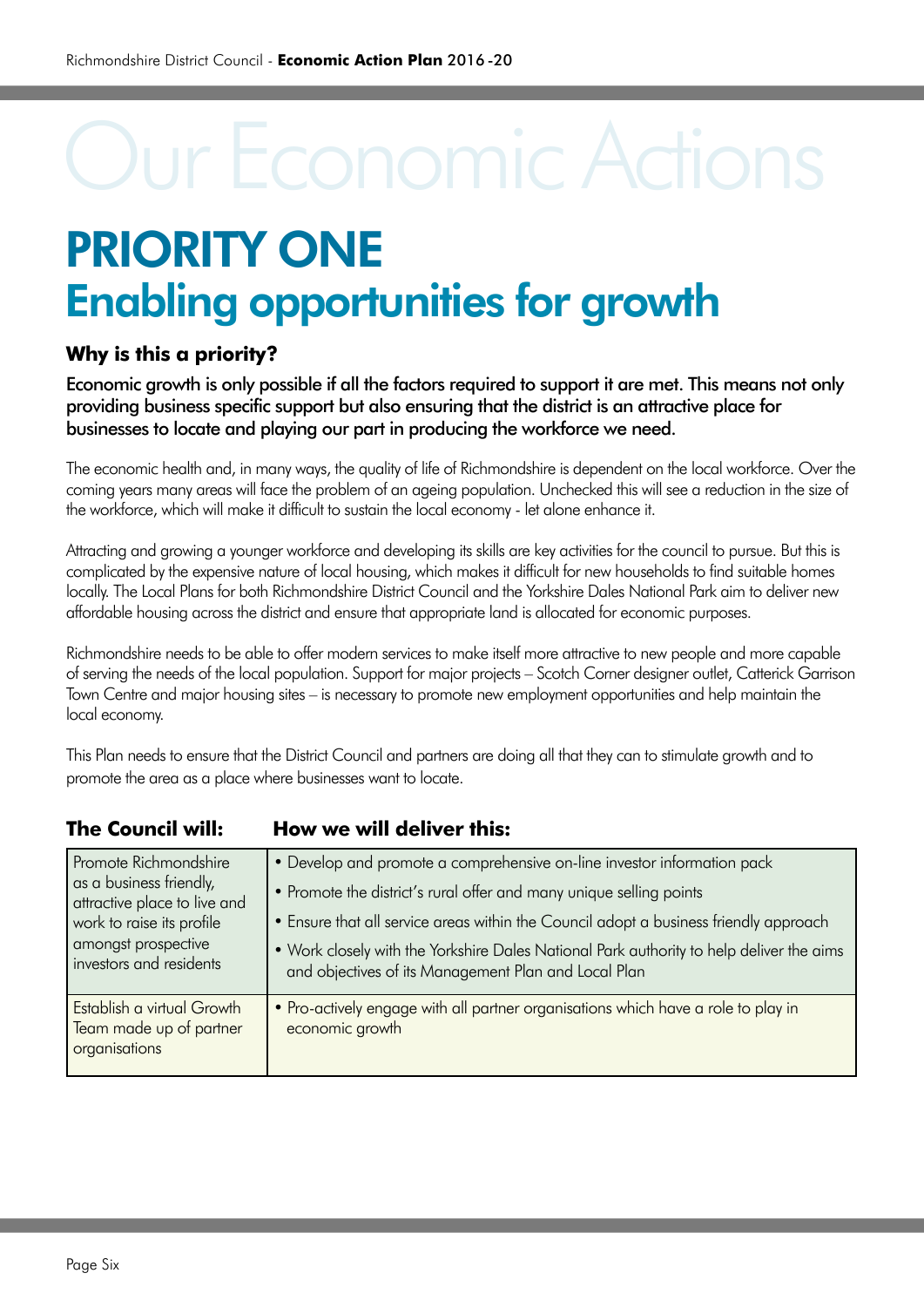### PRIORITY ONE Enabling opportunities for growth

### **Why is this a priority?**

Economic growth is only possible if all the factors required to support it are met. This means not only providing business specific support but also ensuring that the district is an attractive place for businesses to locate and playing our part in producing the workforce we need.

The economic health and, in many ways, the quality of life of Richmondshire is dependent on the local workforce. Over the coming years many areas will face the problem of an ageing population. Unchecked this will see a reduction in the size of the workforce, which will make it difficult to sustain the local economy - let alone enhance it.

Attracting and growing a younger workforce and developing its skills are key activities for the council to pursue. But this is complicated by the expensive nature of local housing, which makes it difficult for new households to find suitable homes locally. The Local Plans for both Richmondshire District Council and the Yorkshire Dales National Park aim to deliver new affordable housing across the district and ensure that appropriate land is allocated for economic purposes.

Richmondshire needs to be able to offer modern services to make itself more attractive to new people and more capable of serving the needs of the local population. Support for major projects – Scotch Corner designer outlet, Catterick Garrison Town Centre and major housing sites – is necessary to promote new employment opportunities and help maintain the local economy.

This Plan needs to ensure that the District Council and partners are doing all that they can to stimulate growth and to promote the area as a place where businesses want to locate.

| <b>The Council will:</b>                                                                                                                                        | How we will deliver this:                                                                                                                                                                                                                                                                                                                                                                   |
|-----------------------------------------------------------------------------------------------------------------------------------------------------------------|---------------------------------------------------------------------------------------------------------------------------------------------------------------------------------------------------------------------------------------------------------------------------------------------------------------------------------------------------------------------------------------------|
| Promote Richmondshire<br>as a business friendly,<br>attractive place to live and<br>work to raise its profile<br>amongst prospective<br>investors and residents | • Develop and promote a comprehensive on-line investor information pack<br>• Promote the district's rural offer and many unique selling points<br>• Ensure that all service areas within the Council adopt a business friendly approach<br>. Work closely with the Yorkshire Dales National Park authority to help deliver the aims<br>and objectives of its Management Plan and Local Plan |
| Establish a virtual Growth<br>Team made up of partner<br>organisations                                                                                          | • Pro-actively engage with all partner organisations which have a role to play in<br>economic growth                                                                                                                                                                                                                                                                                        |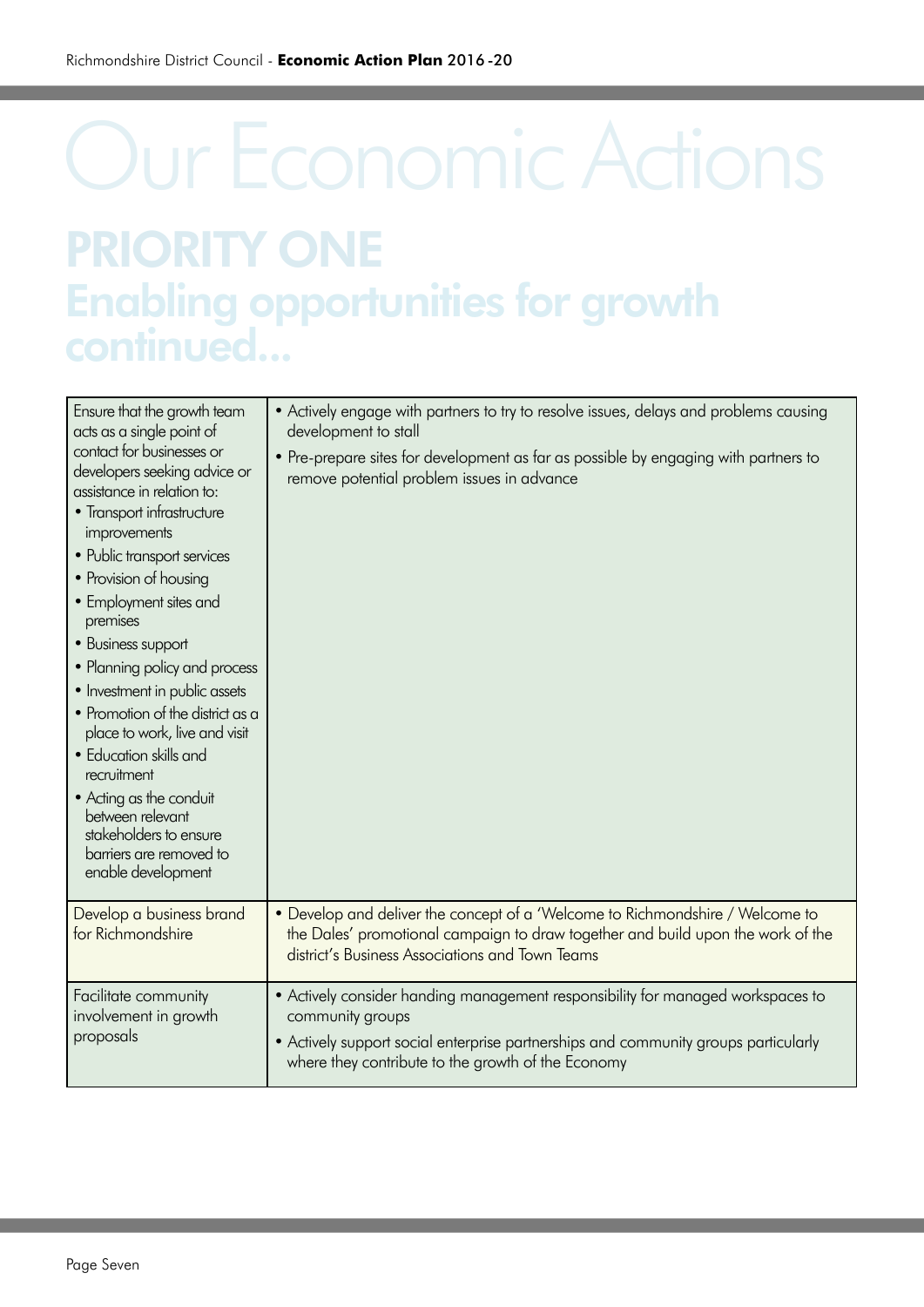## Our Economic Actions PRIORITY ONE Enabling opportunities for growth continued...

| Ensure that the growth team<br>acts as a single point of<br>contact for businesses or<br>developers seeking advice or<br>assistance in relation to:<br>• Transport infrastructure<br>improvements<br>• Public transport services<br>• Provision of housing<br>• Employment sites and<br>premises<br>• Business support<br>• Planning policy and process<br>• Investment in public assets<br>• Promotion of the district as a<br>place to work, live and visit<br>• Education skills and<br>recruitment<br>• Acting as the conduit<br>between relevant<br>stakeholders to ensure<br>barriers are removed to<br>enable development | • Actively engage with partners to try to resolve issues, delays and problems causing<br>development to stall<br>. Pre-prepare sites for development as far as possible by engaging with partners to<br>remove potential problem issues in advance |
|----------------------------------------------------------------------------------------------------------------------------------------------------------------------------------------------------------------------------------------------------------------------------------------------------------------------------------------------------------------------------------------------------------------------------------------------------------------------------------------------------------------------------------------------------------------------------------------------------------------------------------|----------------------------------------------------------------------------------------------------------------------------------------------------------------------------------------------------------------------------------------------------|
| Develop a business brand<br>for Richmondshire                                                                                                                                                                                                                                                                                                                                                                                                                                                                                                                                                                                    | • Develop and deliver the concept of a 'Welcome to Richmondshire / Welcome to<br>the Dales' promotional campaign to draw together and build upon the work of the                                                                                   |
|                                                                                                                                                                                                                                                                                                                                                                                                                                                                                                                                                                                                                                  | district's Business Associations and Town Teams                                                                                                                                                                                                    |
| Facilitate community<br>involvement in growth<br>proposals                                                                                                                                                                                                                                                                                                                                                                                                                                                                                                                                                                       | • Actively consider handing management responsibility for managed workspaces to<br>community groups<br>• Actively support social enterprise partnerships and community groups particularly<br>where they contribute to the growth of the Economy   |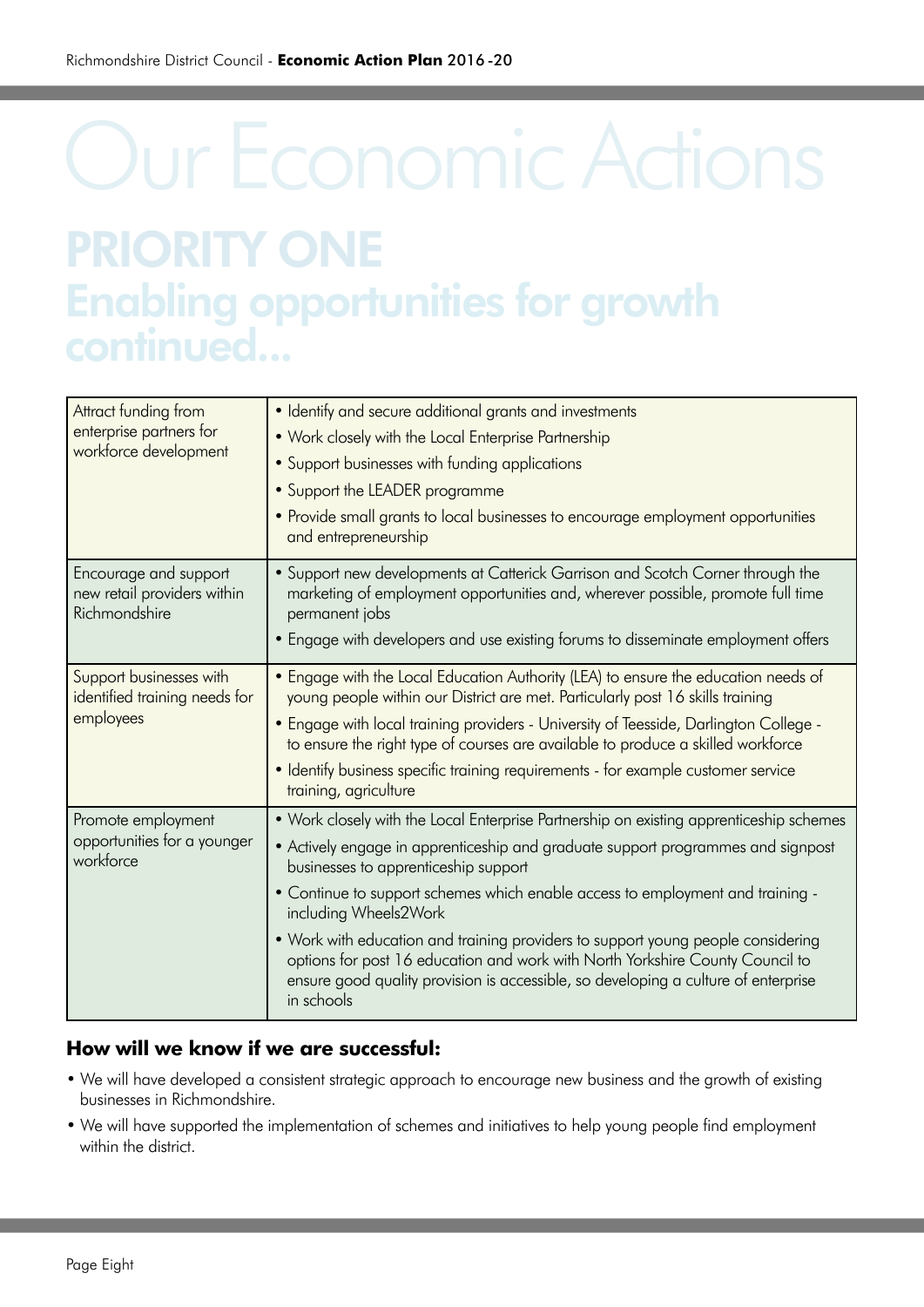## Our Economic Actions PRIORITY ONE Enabling opportunities for growth continued...

| Attract funding from<br>enterprise partners for<br>workforce development | • Identify and secure additional grants and investments<br>. Work closely with the Local Enterprise Partnership<br>• Support businesses with funding applications<br>• Support the LEADER programme<br>• Provide small grants to local businesses to encourage employment opportunities<br>and entrepreneurship                                                                                                                                                                                                                                                                                         |
|--------------------------------------------------------------------------|---------------------------------------------------------------------------------------------------------------------------------------------------------------------------------------------------------------------------------------------------------------------------------------------------------------------------------------------------------------------------------------------------------------------------------------------------------------------------------------------------------------------------------------------------------------------------------------------------------|
| Encourage and support<br>new retail providers within<br>Richmondshire    | • Support new developments at Catterick Garrison and Scotch Corner through the<br>marketing of employment opportunities and, wherever possible, promote full time<br>permanent jobs<br>• Engage with developers and use existing forums to disseminate employment offers                                                                                                                                                                                                                                                                                                                                |
| Support businesses with<br>identified training needs for<br>employees    | • Engage with the Local Education Authority (LEA) to ensure the education needs of<br>young people within our District are met. Particularly post 16 skills training<br>. Engage with local training providers - University of Teesside, Darlington College -<br>to ensure the right type of courses are available to produce a skilled workforce<br>· Identify business specific training requirements - for example customer service<br>training, agriculture                                                                                                                                         |
| Promote employment<br>opportunities for a younger<br>workforce           | • Work closely with the Local Enterprise Partnership on existing apprenticeship schemes<br>• Actively engage in apprenticeship and graduate support programmes and signpost<br>businesses to apprenticeship support<br>• Continue to support schemes which enable access to employment and training -<br>including Wheels2Work<br>• Work with education and training providers to support young people considering<br>options for post 16 education and work with North Yorkshire County Council to<br>ensure good quality provision is accessible, so developing a culture of enterprise<br>in schools |

### **How will we know if we are successful:**

- We will have developed a consistent strategic approach to encourage new business and the growth of existing businesses in Richmondshire.
- We will have supported the implementation of schemes and initiatives to help young people find employment within the district.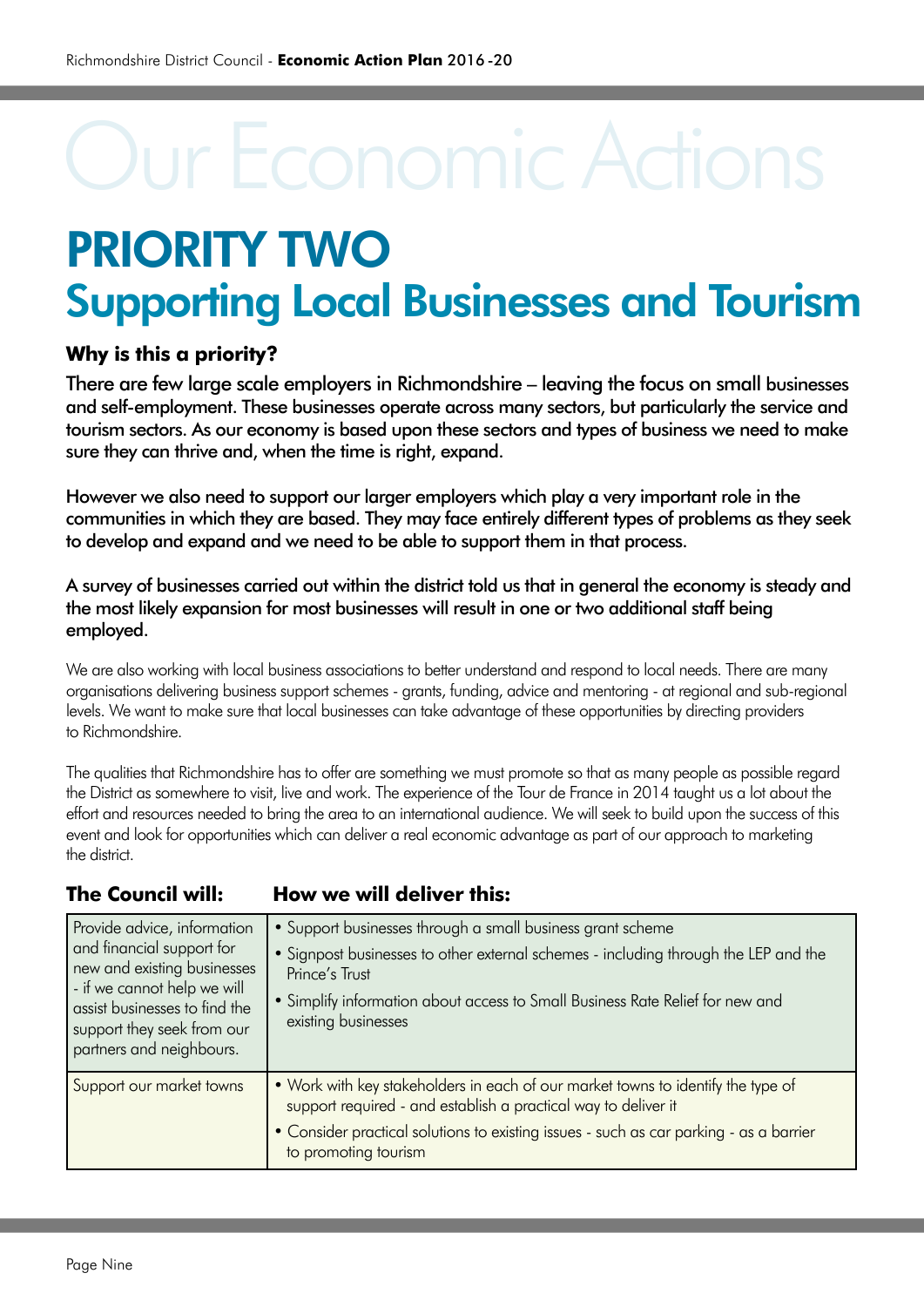### PRIORITY TWO Supporting Local Businesses and Tourism

#### **Why is this a priority?**

There are few large scale employers in Richmondshire – leaving the focus on small businesses and self-employment. These businesses operate across many sectors, but particularly the service and tourism sectors. As our economy is based upon these sectors and types of business we need to make sure they can thrive and, when the time is right, expand.

However we also need to support our larger employers which play a very important role in the communities in which they are based. They may face entirely different types of problems as they seek to develop and expand and we need to be able to support them in that process.

A survey of businesses carried out within the district told us that in general the economy is steady and the most likely expansion for most businesses will result in one or two additional staff being employed.

We are also working with local business associations to better understand and respond to local needs. There are many organisations delivering business support schemes - grants, funding, advice and mentoring - at regional and sub-regional levels. We want to make sure that local businesses can take advantage of these opportunities by directing providers to Richmondshire.

The qualities that Richmondshire has to offer are something we must promote so that as many people as possible regard the District as somewhere to visit, live and work. The experience of the Tour de France in 2014 taught us a lot about the effort and resources needed to bring the area to an international audience. We will seek to build upon the success of this event and look for opportunities which can deliver a real economic advantage as part of our approach to marketing the district.

#### **The Council will: How we will deliver this:**

| Provide advice, information<br>and financial support for<br>new and existing businesses<br>- if we cannot help we will<br>assist businesses to find the<br>support they seek from our<br>partners and neighbours. | • Support businesses through a small business grant scheme<br>• Signpost businesses to other external schemes - including through the LEP and the<br>Prince's Trust<br>• Simplify information about access to Small Business Rate Relief for new and<br>existing businesses |
|-------------------------------------------------------------------------------------------------------------------------------------------------------------------------------------------------------------------|-----------------------------------------------------------------------------------------------------------------------------------------------------------------------------------------------------------------------------------------------------------------------------|
| Support our market towns                                                                                                                                                                                          | • Work with key stakeholders in each of our market towns to identify the type of<br>support required - and establish a practical way to deliver it<br>• Consider practical solutions to existing issues - such as car parking - as a barrier<br>to promoting tourism        |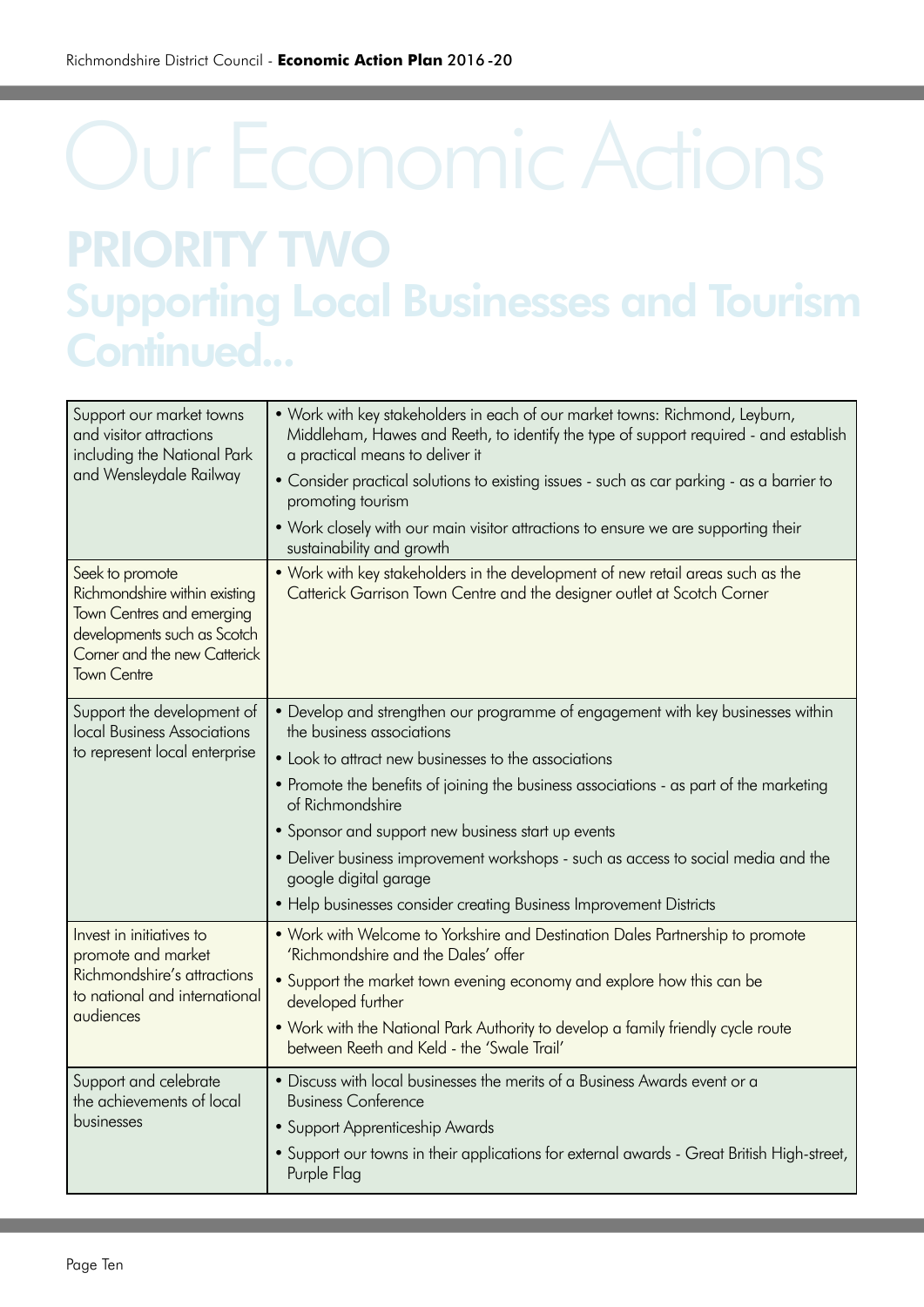## Our Economic Actions PRIORITY TWO Supporting Local Businesses and Tourism Continued...

| Support our market towns<br>and visitor attractions<br>including the National Park<br>and Wensleydale Railway                                                             | . Work with key stakeholders in each of our market towns: Richmond, Leyburn,<br>Middleham, Hawes and Reeth, to identify the type of support required - and establish<br>a practical means to deliver it<br>• Consider practical solutions to existing issues - such as car parking - as a barrier to<br>promoting tourism<br>. Work closely with our main visitor attractions to ensure we are supporting their<br>sustainability and growth                                                                                 |
|---------------------------------------------------------------------------------------------------------------------------------------------------------------------------|------------------------------------------------------------------------------------------------------------------------------------------------------------------------------------------------------------------------------------------------------------------------------------------------------------------------------------------------------------------------------------------------------------------------------------------------------------------------------------------------------------------------------|
| Seek to promote<br>Richmondshire within existing<br><b>Town Centres and emerging</b><br>developments such as Scotch<br>Corner and the new Catterick<br><b>Town Centre</b> | • Work with key stakeholders in the development of new retail areas such as the<br>Catterick Garrison Town Centre and the designer outlet at Scotch Corner                                                                                                                                                                                                                                                                                                                                                                   |
| Support the development of<br>local Business Associations<br>to represent local enterprise                                                                                | • Develop and strengthen our programme of engagement with key businesses within<br>the business associations<br>• Look to attract new businesses to the associations<br>• Promote the benefits of joining the business associations - as part of the marketing<br>of Richmondshire<br>• Sponsor and support new business start up events<br>. Deliver business improvement workshops - such as access to social media and the<br>google digital garage<br>• Help businesses consider creating Business Improvement Districts |
| Invest in initiatives to<br>promote and market<br>Richmondshire's attractions<br>to national and international<br>audiences                                               | • Work with Welcome to Yorkshire and Destination Dales Partnership to promote<br>'Richmondshire and the Dales' offer<br>• Support the market town evening economy and explore how this can be<br>developed further<br>. Work with the National Park Authority to develop a family friendly cycle route<br>between Reeth and Keld - the 'Swale Trail'                                                                                                                                                                         |
| Support and celebrate<br>the achievements of local<br>businesses                                                                                                          | • Discuss with local businesses the merits of a Business Awards event or a<br><b>Business Conference</b><br>• Support Apprenticeship Awards<br>• Support our towns in their applications for external awards - Great British High-street,<br>Purple Flag                                                                                                                                                                                                                                                                     |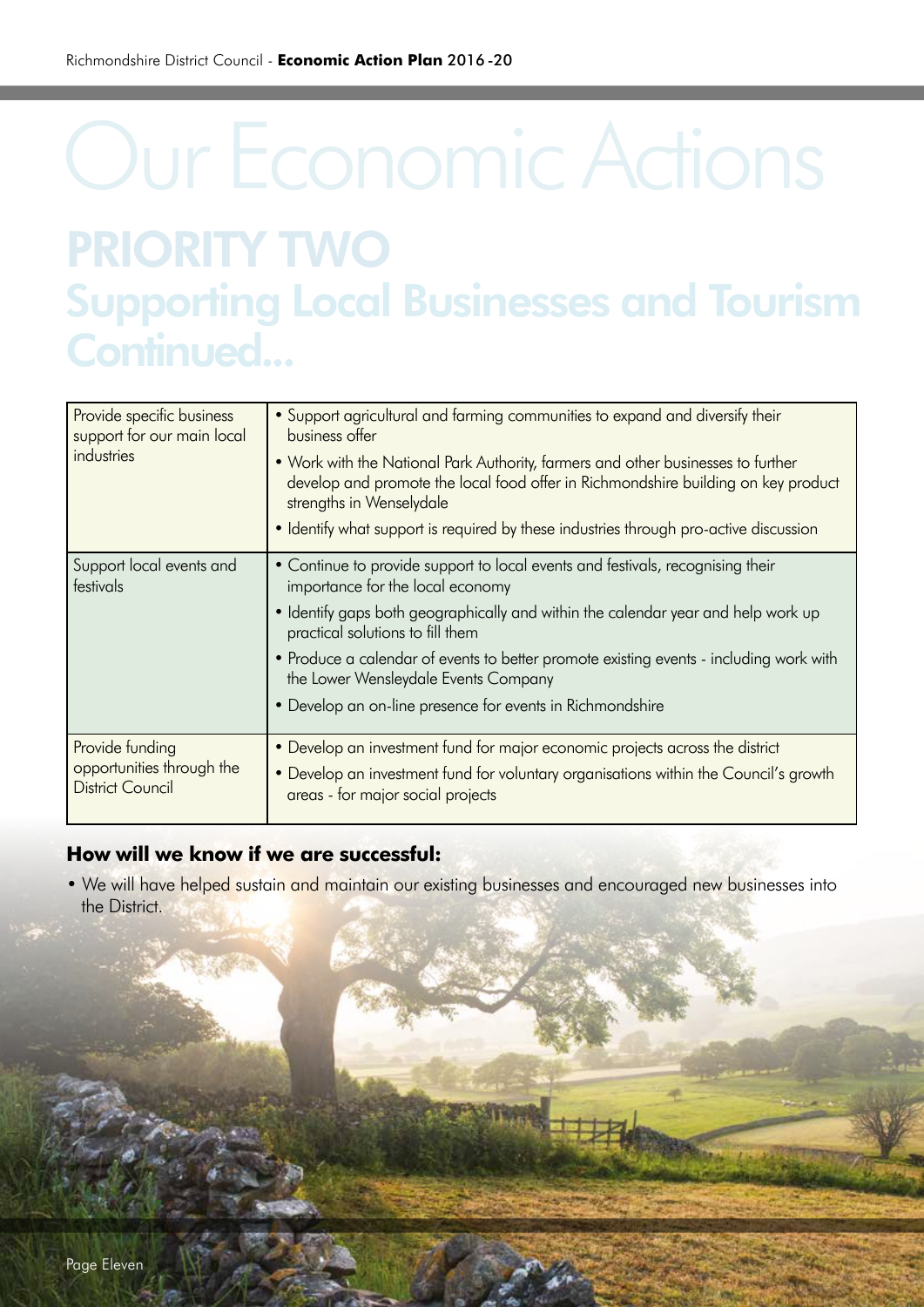## Our Economic Actions PRIORITY TWO Supporting Local Businesses and Tourism Continued...

| Provide specific business<br>support for our main local<br>industries   | . Support agricultural and farming communities to expand and diversify their<br>business offer<br>. Work with the National Park Authority, farmers and other businesses to further<br>develop and promote the local food offer in Richmondshire building on key product<br>strengths in Wenselydale<br>• Identify what support is required by these industries through pro-active discussion                                               |
|-------------------------------------------------------------------------|--------------------------------------------------------------------------------------------------------------------------------------------------------------------------------------------------------------------------------------------------------------------------------------------------------------------------------------------------------------------------------------------------------------------------------------------|
| Support local events and<br>festivals                                   | • Continue to provide support to local events and festivals, recognising their<br>importance for the local economy<br>• Identify gaps both geographically and within the calendar year and help work up<br>practical solutions to fill them<br>• Produce a calendar of events to better promote existing events - including work with<br>the Lower Wensleydale Events Company<br>• Develop an on-line presence for events in Richmondshire |
| Provide funding<br>opportunities through the<br><b>District Council</b> | • Develop an investment fund for major economic projects across the district<br>• Develop an investment fund for voluntary organisations within the Council's growth<br>areas - for major social projects                                                                                                                                                                                                                                  |

#### **How will we know if we are successful:**

• We will have helped sustain and maintain our existing businesses and encouraged new businesses into the District.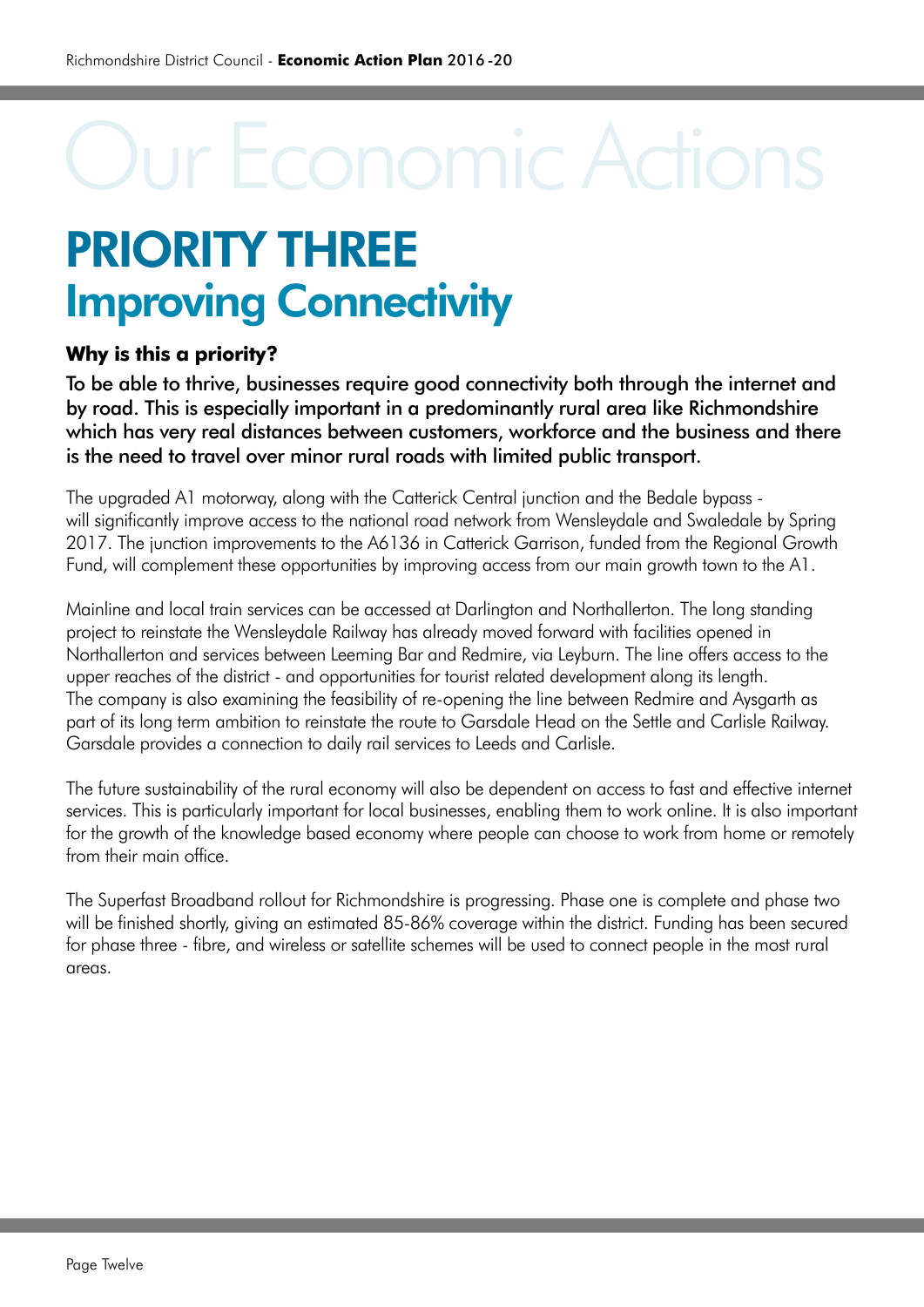### PRIORITY THREE Improving Connectivity

### **Why is this a priority?**

To be able to thrive, businesses require good connectivity both through the internet and by road. This is especially important in a predominantly rural area like Richmondshire which has very real distances between customers, workforce and the business and there is the need to travel over minor rural roads with limited public transport.

The upgraded A1 motorway, along with the Catterick Central junction and the Bedale bypass will significantly improve access to the national road network from Wensleydale and Swaledale by Spring 2017. The junction improvements to the A6136 in Catterick Garrison, funded from the Regional Growth Fund, will complement these opportunities by improving access from our main growth town to the A1.

Mainline and local train services can be accessed at Darlington and Northallerton. The long standing project to reinstate the Wensleydale Railway has already moved forward with facilities opened in Northallerton and services between Leeming Bar and Redmire, via Leyburn. The line offers access to the upper reaches of the district - and opportunities for tourist related development along its length. The company is also examining the feasibility of re-opening the line between Redmire and Aysgarth as part of its long term ambition to reinstate the route to Garsdale Head on the Settle and Carlisle Railway. Garsdale provides a connection to daily rail services to Leeds and Carlisle.

The future sustainability of the rural economy will also be dependent on access to fast and effective internet services. This is particularly important for local businesses, enabling them to work online. It is also important for the growth of the knowledge based economy where people can choose to work from home or remotely from their main office.

The Superfast Broadband rollout for Richmondshire is progressing. Phase one is complete and phase two will be finished shortly, giving an estimated 85-86% coverage within the district. Funding has been secured for phase three - fibre, and wireless or satellite schemes will be used to connect people in the most rural areas.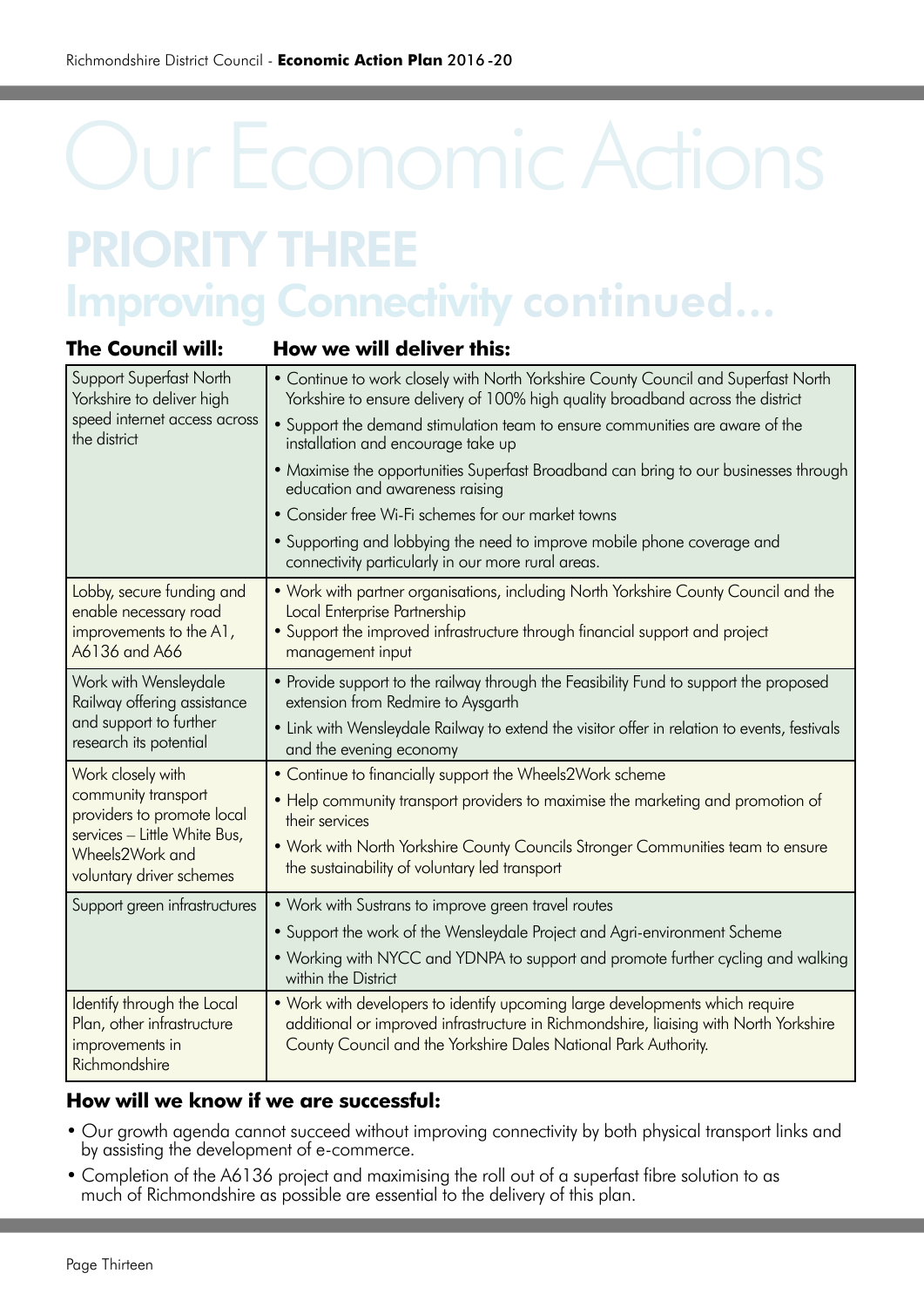### PRIORITY THREE **Improving Connectivity continued...**

| <b>The Council will:</b>                                                                                                         | How we will deliver this:                                                                                                                                                                                                                |
|----------------------------------------------------------------------------------------------------------------------------------|------------------------------------------------------------------------------------------------------------------------------------------------------------------------------------------------------------------------------------------|
| <b>Support Superfast North</b><br>Yorkshire to deliver high<br>speed internet access across<br>the district                      | • Continue to work closely with North Yorkshire County Council and Superfast North<br>Yorkshire to ensure delivery of 100% high quality broadband across the district                                                                    |
|                                                                                                                                  | • Support the demand stimulation team to ensure communities are aware of the<br>installation and encourage take up                                                                                                                       |
|                                                                                                                                  | • Maximise the opportunities Superfast Broadband can bring to our businesses through<br>education and awareness raising                                                                                                                  |
|                                                                                                                                  | • Consider free Wi-Fi schemes for our market towns                                                                                                                                                                                       |
|                                                                                                                                  | • Supporting and lobbying the need to improve mobile phone coverage and<br>connectivity particularly in our more rural areas.                                                                                                            |
| Lobby, secure funding and<br>enable necessary road<br>improvements to the A1,<br>A6136 and A66                                   | • Work with partner organisations, including North Yorkshire County Council and the<br>Local Enterprise Partnership                                                                                                                      |
|                                                                                                                                  | • Support the improved infrastructure through financial support and project<br>management input                                                                                                                                          |
| Work with Wensleydale<br>Railway offering assistance<br>and support to further<br>research its potential                         | • Provide support to the railway through the Feasibility Fund to support the proposed<br>extension from Redmire to Aysgarth                                                                                                              |
|                                                                                                                                  | • Link with Wensleydale Railway to extend the visitor offer in relation to events, festivals<br>and the evening economy                                                                                                                  |
| Work closely with                                                                                                                | • Continue to financially support the Wheels2Work scheme                                                                                                                                                                                 |
| community transport<br>providers to promote local<br>services - Little White Bus,<br>Wheels2Work and<br>voluntary driver schemes | • Help community transport providers to maximise the marketing and promotion of<br>their services                                                                                                                                        |
|                                                                                                                                  | • Work with North Yorkshire County Councils Stronger Communities team to ensure<br>the sustainability of voluntary led transport                                                                                                         |
| Support green infrastructures                                                                                                    | • Work with Sustrans to improve green travel routes                                                                                                                                                                                      |
|                                                                                                                                  | • Support the work of the Wensleydale Project and Agri-environment Scheme                                                                                                                                                                |
|                                                                                                                                  | . Working with NYCC and YDNPA to support and promote further cycling and walking<br>within the District                                                                                                                                  |
| Identify through the Local<br>Plan, other infrastructure<br>improvements in<br>Richmondshire                                     | . Work with developers to identify upcoming large developments which require<br>additional or improved infrastructure in Richmondshire, liaising with North Yorkshire<br>County Council and the Yorkshire Dales National Park Authority. |

#### **How will we know if we are successful:**

- Our growth agenda cannot succeed without improving connectivity by both physical transport links and by assisting the development of e-commerce.
- Completion of the A6136 project and maximising the roll out of a superfast fibre solution to as much of Richmondshire as possible are essential to the delivery of this plan.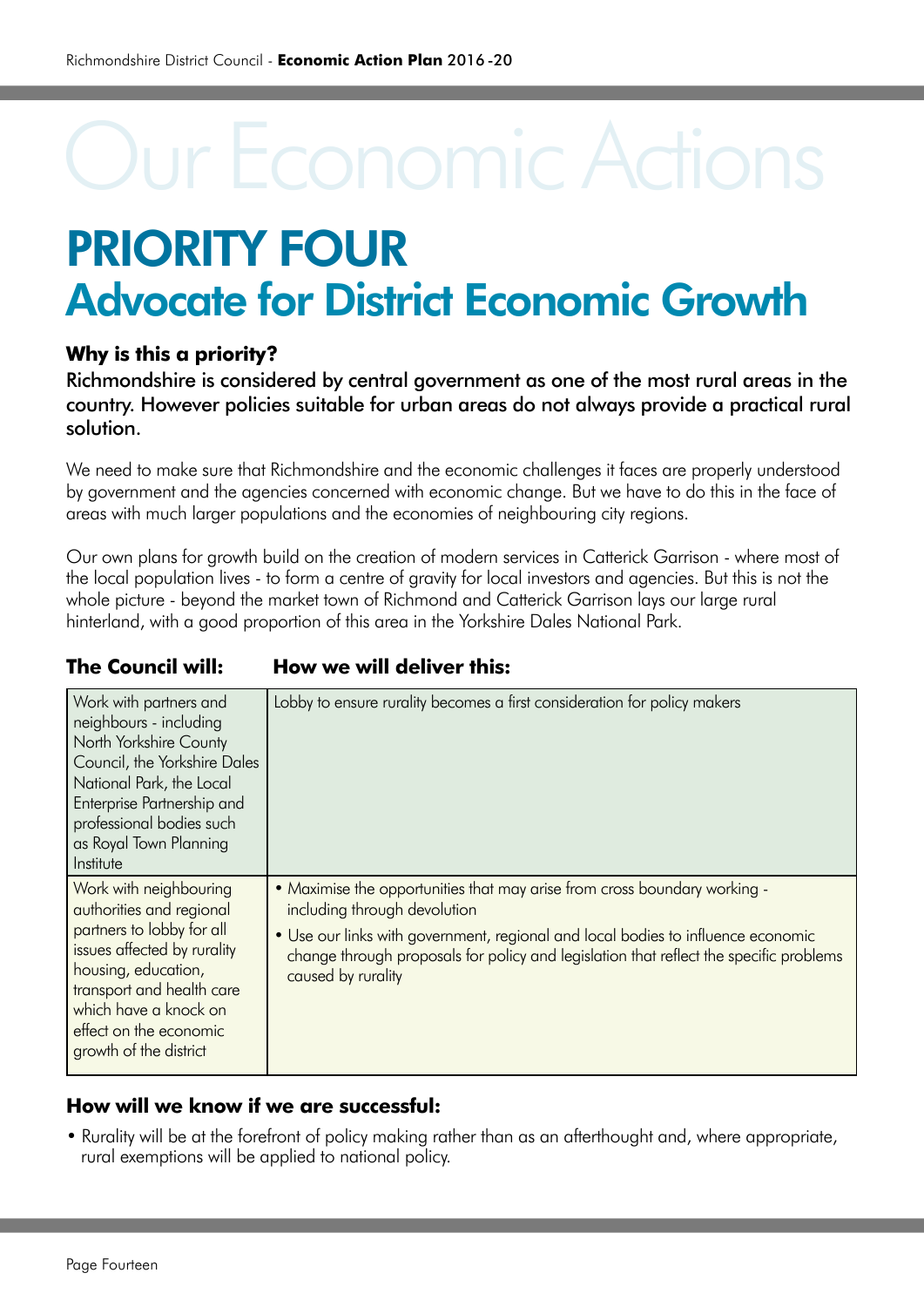### PRIORITY FOUR Advocate for District Economic Growth

### **Why is this a priority?**

Richmondshire is considered by central government as one of the most rural areas in the country. However policies suitable for urban areas do not always provide a practical rural solution.

We need to make sure that Richmondshire and the economic challenges it faces are properly understood by government and the agencies concerned with economic change. But we have to do this in the face of areas with much larger populations and the economies of neighbouring city regions.

Our own plans for growth build on the creation of modern services in Catterick Garrison - where most of the local population lives - to form a centre of gravity for local investors and agencies. But this is not the whole picture - beyond the market town of Richmond and Catterick Garrison lays our large rural hinterland, with a good proportion of this area in the Yorkshire Dales National Park.

| The Council will: | How we will deliver this: |
|-------------------|---------------------------|
|                   |                           |

| Work with partners and<br>neighbours - including<br>North Yorkshire County<br>Council, the Yorkshire Dales<br>National Park, the Local<br>Enterprise Partnership and<br>professional bodies such<br>as Royal Town Planning<br>Institute         | Lobby to ensure rurality becomes a first consideration for policy makers                                                                                                                                                                                                                                      |
|-------------------------------------------------------------------------------------------------------------------------------------------------------------------------------------------------------------------------------------------------|---------------------------------------------------------------------------------------------------------------------------------------------------------------------------------------------------------------------------------------------------------------------------------------------------------------|
| Work with neighbouring<br>authorities and regional<br>partners to lobby for all<br>issues affected by rurality<br>housing, education,<br>transport and health care<br>which have a knock on<br>effect on the economic<br>growth of the district | • Maximise the opportunities that may arise from cross boundary working -<br>including through devolution<br>• Use our links with government, regional and local bodies to influence economic<br>change through proposals for policy and legislation that reflect the specific problems<br>caused by rurality |

#### **How will we know if we are successful:**

• Rurality will be at the forefront of policy making rather than as an afterthought and, where appropriate, rural exemptions will be applied to national policy.